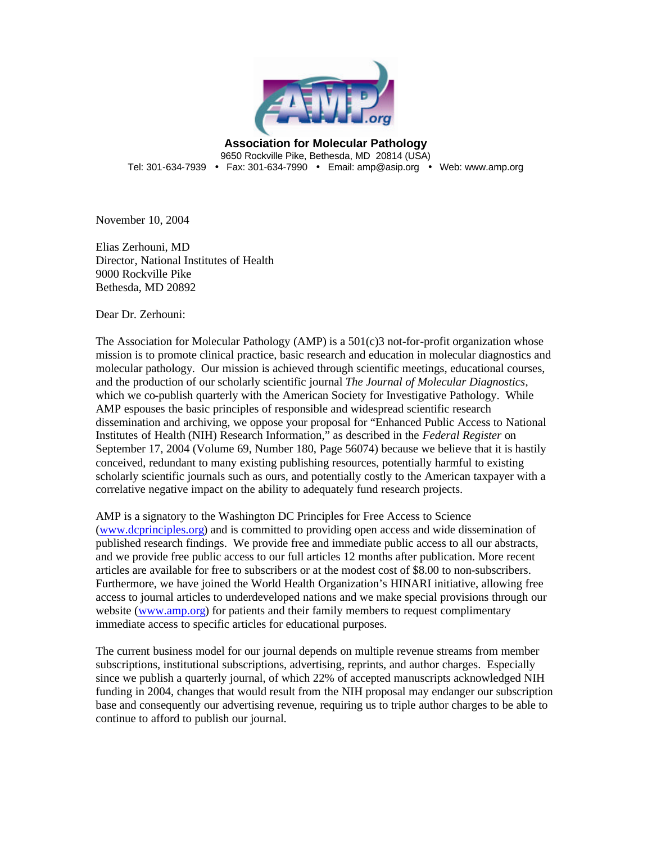

**Association for Molecular Pathology** 9650 Rockville Pike, Bethesda, MD 20814 (USA) Tel: 301-634-7939 • Fax: 301-634-7990 • Email: amp@asip.org • Web: www.amp.org

November 10, 2004

Elias Zerhouni, MD Director, National Institutes of Health 9000 Rockville Pike Bethesda, MD 20892

Dear Dr. Zerhouni:

The Association for Molecular Pathology (AMP) is a 501(c)3 not-for-profit organization whose mission is to promote clinical practice, basic research and education in molecular diagnostics and molecular pathology. Our mission is achieved through scientific meetings, educational courses, and the production of our scholarly scientific journal *The Journal of Molecular Diagnostics*, which we co-publish quarterly with the American Society for Investigative Pathology. While AMP espouses the basic principles of responsible and widespread scientific research dissemination and archiving, we oppose your proposal for "Enhanced Public Access to National Institutes of Health (NIH) Research Information," as described in the *Federal Register* on September 17, 2004 (Volume 69, Number 180, Page 56074) because we believe that it is hastily conceived, redundant to many existing publishing resources, potentially harmful to existing scholarly scientific journals such as ours, and potentially costly to the American taxpayer with a correlative negative impact on the ability to adequately fund research projects.

AMP is a signatory to the Washington DC Principles for Free Access to Science (www.dcprinciples.org) and is committed to providing open access and wide dissemination of published research findings. We provide free and immediate public access to all our abstracts, and we provide free public access to our full articles 12 months after publication. More recent articles are available for free to subscribers or at the modest cost of \$8.00 to non-subscribers. Furthermore, we have joined the World Health Organization's HINARI initiative, allowing free access to journal articles to underdeveloped nations and we make special provisions through our website (www.amp.org) for patients and their family members to request complimentary immediate access to specific articles for educational purposes.

The current business model for our journal depends on multiple revenue streams from member subscriptions, institutional subscriptions, advertising, reprints, and author charges. Especially since we publish a quarterly journal, of which 22% of accepted manuscripts acknowledged NIH funding in 2004, changes that would result from the NIH proposal may endanger our subscription base and consequently our advertising revenue, requiring us to triple author charges to be able to continue to afford to publish our journal.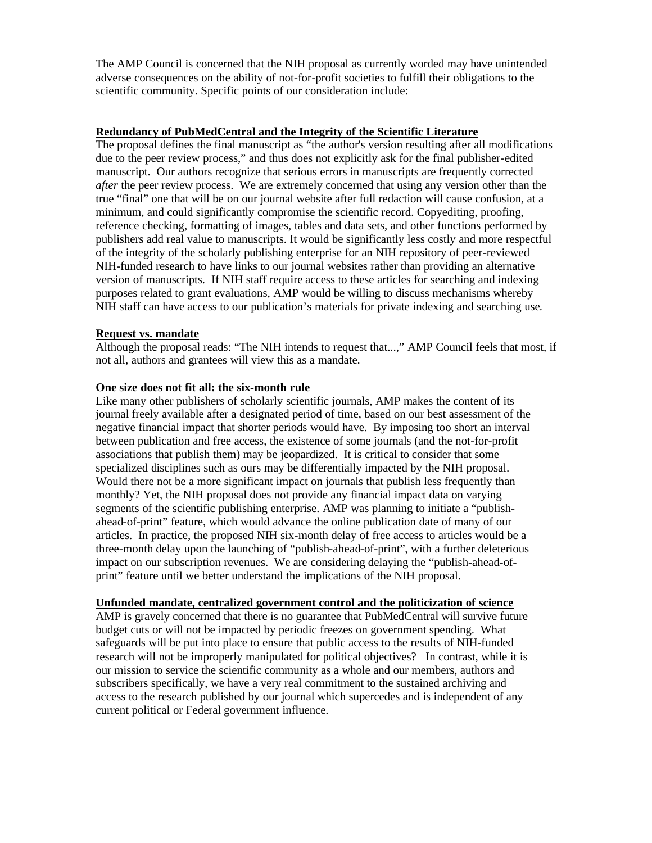The AMP Council is concerned that the NIH proposal as currently worded may have unintended adverse consequences on the ability of not-for-profit societies to fulfill their obligations to the scientific community. Specific points of our consideration include:

## **Redundancy of PubMedCentral and the Integrity of the Scientific Literature**

The proposal defines the final manuscript as "the author's version resulting after all modifications due to the peer review process," and thus does not explicitly ask for the final publisher-edited manuscript. Our authors recognize that serious errors in manuscripts are frequently corrected *after* the peer review process. We are extremely concerned that using any version other than the true "final" one that will be on our journal website after full redaction will cause confusion, at a minimum, and could significantly compromise the scientific record. Copyediting, proofing, reference checking, formatting of images, tables and data sets, and other functions performed by publishers add real value to manuscripts. It would be significantly less costly and more respectful of the integrity of the scholarly publishing enterprise for an NIH repository of peer-reviewed NIH-funded research to have links to our journal websites rather than providing an alternative version of manuscripts. If NIH staff require access to these articles for searching and indexing purposes related to grant evaluations, AMP would be willing to discuss mechanisms whereby NIH staff can have access to our publication's materials for private indexing and searching use.

# **Request vs. mandate**

Although the proposal reads: "The NIH intends to request that...," AMP Council feels that most, if not all, authors and grantees will view this as a mandate.

### **One size does not fit all: the six-month rule**

Like many other publishers of scholarly scientific journals, AMP makes the content of its journal freely available after a designated period of time, based on our best assessment of the negative financial impact that shorter periods would have. By imposing too short an interval between publication and free access, the existence of some journals (and the not-for-profit associations that publish them) may be jeopardized. It is critical to consider that some specialized disciplines such as ours may be differentially impacted by the NIH proposal. Would there not be a more significant impact on journals that publish less frequently than monthly? Yet, the NIH proposal does not provide any financial impact data on varying segments of the scientific publishing enterprise. AMP was planning to initiate a "publishahead-of-print" feature, which would advance the online publication date of many of our articles. In practice, the proposed NIH six-month delay of free access to articles would be a three-month delay upon the launching of "publish-ahead-of-print", with a further deleterious impact on our subscription revenues. We are considering delaying the "publish-ahead-ofprint" feature until we better understand the implications of the NIH proposal.

### **Unfunded mandate, centralized government control and the politicization of science**

AMP is gravely concerned that there is no guarantee that PubMedCentral will survive future budget cuts or will not be impacted by periodic freezes on government spending. What safeguards will be put into place to ensure that public access to the results of NIH-funded research will not be improperly manipulated for political objectives? In contrast, while it is our mission to service the scientific community as a whole and our members, authors and subscribers specifically, we have a very real commitment to the sustained archiving and access to the research published by our journal which supercedes and is independent of any current political or Federal government influence.